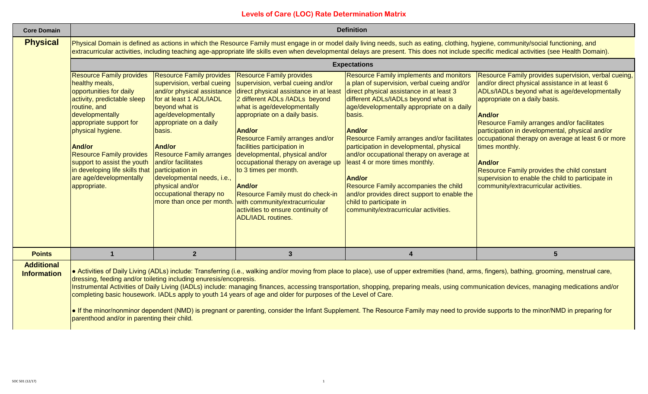| <b>Core Domain</b>                      |                                                                                                                                                                                                                                                                                                                                                                                      |                                                                                                                                                                                                                                                                                                                                                 |                                                                                                                                                                                                                                                                                                                                                                                                                                                                                                                                                                                                                     | <b>Definition</b>                                                                                                                                                                                                                                                                                                                                                                                                                                                                                                                                                                                                 |                                                                                                                                                                                                                                                                                                                                                                                                                                                                                                                                                                                      |  |
|-----------------------------------------|--------------------------------------------------------------------------------------------------------------------------------------------------------------------------------------------------------------------------------------------------------------------------------------------------------------------------------------------------------------------------------------|-------------------------------------------------------------------------------------------------------------------------------------------------------------------------------------------------------------------------------------------------------------------------------------------------------------------------------------------------|---------------------------------------------------------------------------------------------------------------------------------------------------------------------------------------------------------------------------------------------------------------------------------------------------------------------------------------------------------------------------------------------------------------------------------------------------------------------------------------------------------------------------------------------------------------------------------------------------------------------|-------------------------------------------------------------------------------------------------------------------------------------------------------------------------------------------------------------------------------------------------------------------------------------------------------------------------------------------------------------------------------------------------------------------------------------------------------------------------------------------------------------------------------------------------------------------------------------------------------------------|--------------------------------------------------------------------------------------------------------------------------------------------------------------------------------------------------------------------------------------------------------------------------------------------------------------------------------------------------------------------------------------------------------------------------------------------------------------------------------------------------------------------------------------------------------------------------------------|--|
| <b>Physical</b>                         | Physical Domain is defined as actions in which the Resource Family must engage in or model daily living needs, such as eating, clothing, hygiene, community/social functioning, and<br>extracurricular activities, including teaching age-appropriate life skills even when developmental delays are present. This does not include specific medical activities (see Health Domain). |                                                                                                                                                                                                                                                                                                                                                 |                                                                                                                                                                                                                                                                                                                                                                                                                                                                                                                                                                                                                     |                                                                                                                                                                                                                                                                                                                                                                                                                                                                                                                                                                                                                   |                                                                                                                                                                                                                                                                                                                                                                                                                                                                                                                                                                                      |  |
|                                         | <b>Expectations</b>                                                                                                                                                                                                                                                                                                                                                                  |                                                                                                                                                                                                                                                                                                                                                 |                                                                                                                                                                                                                                                                                                                                                                                                                                                                                                                                                                                                                     |                                                                                                                                                                                                                                                                                                                                                                                                                                                                                                                                                                                                                   |                                                                                                                                                                                                                                                                                                                                                                                                                                                                                                                                                                                      |  |
|                                         | <b>Resource Family provides</b><br>healthy meals,<br>opportunities for daily<br>activity, predictable sleep<br>routine, and<br>developmentally<br>appropriate support for<br>physical hygiene.<br><b>And/or</b><br><b>Resource Family provides</b><br>support to assist the youth<br>in developing life skills that<br>are age/developmentally<br>appropriate.                       | <b>Resource Family provides</b><br>supervision, verbal cueing<br>for at least 1 ADL/IADL<br>beyond what is<br>age/developmentally<br>appropriate on a daily<br>basis.<br><b>And/or</b><br><b>Resource Family arranges</b><br>and/or facilitates<br>participation in<br>developmental needs, i.e.,<br>physical and/or<br>occupational therapy no | <b>Resource Family provides</b><br>supervision, verbal cueing and/or<br>and/or physical assistance direct physical assistance in at least<br>2 different ADLs /IADLs beyond<br>what is age/developmentally<br>appropriate on a daily basis.<br><b>And/or</b><br>Resource Family arranges and/or<br>facilities participation in<br>developmental, physical and/or<br>occupational therapy on average up<br>to 3 times per month.<br><b>And/or</b><br>Resource Family must do check-in<br>more than once per month. with community/extracurricular<br>activities to ensure continuity of<br><b>ADL/IADL</b> routines. | <b>Resource Family implements and monitors</b><br>a plan of supervision, verbal cueing and/or<br>direct physical assistance in at least 3<br>different ADLs/IADLs beyond what is<br>age/developmentally appropriate on a daily<br>basis.<br><b>And/or</b><br>Resource Family arranges and/or facilitates<br>participation in developmental, physical<br>and/or occupational therapy on average at<br>least 4 or more times monthly.<br><b>And/or</b><br>Resource Family accompanies the child<br>and/or provides direct support to enable the<br>child to participate in<br>community/extracurricular activities. | Resource Family provides supervision, verbal cueing,<br>and/or direct physical assistance in at least 6<br>ADLs/IADLs beyond what is age/developmentally<br>appropriate on a daily basis.<br><b>And/or</b><br><b>Resource Family arranges and/or facilitates</b><br>participation in developmental, physical and/or<br>occupational therapy on average at least 6 or more<br>times monthly.<br>And/or<br>Resource Family provides the child constant<br>supervision to enable the child to participate in<br>community/extracurricular activities.                                   |  |
| <b>Points</b>                           | $\mathbf 1$                                                                                                                                                                                                                                                                                                                                                                          | $\overline{2}$                                                                                                                                                                                                                                                                                                                                  | 3                                                                                                                                                                                                                                                                                                                                                                                                                                                                                                                                                                                                                   | $\boldsymbol{4}$                                                                                                                                                                                                                                                                                                                                                                                                                                                                                                                                                                                                  | $5\phantom{.}$                                                                                                                                                                                                                                                                                                                                                                                                                                                                                                                                                                       |  |
| <b>Additional</b><br><b>Information</b> | dressing, feeding and/or toileting including enuresis/encopresis.<br>parenthood and/or in parenting their child.                                                                                                                                                                                                                                                                     |                                                                                                                                                                                                                                                                                                                                                 | completing basic housework. IADLs apply to youth 14 years of age and older for purposes of the Level of Care.                                                                                                                                                                                                                                                                                                                                                                                                                                                                                                       |                                                                                                                                                                                                                                                                                                                                                                                                                                                                                                                                                                                                                   | • Activities of Daily Living (ADLs) include: Transferring (i.e., walking and/or moving from place to place), use of upper extremities (hand, arms, fingers), bathing, grooming, menstrual care,<br>Instrumental Activities of Daily Living (IADLs) include: managing finances, accessing transportation, shopping, preparing meals, using communication devices, managing medications and/or<br>• If the minor/nonminor dependent (NMD) is pregnant or parenting, consider the Infant Supplement. The Resource Family may need to provide supports to the minor/NMD in preparing for |  |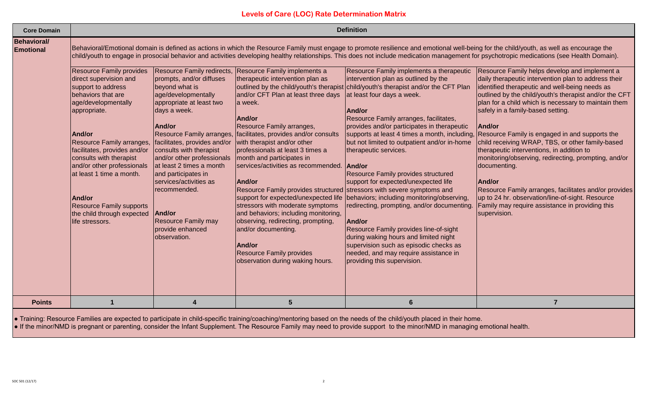| <b>Core Domain</b>                     |                                                                                                                                                                                                                                                        |                                                                                                                                                                                                                                                                                                       |                                                                                                                                                                                                                                                                                                                                                                                                                                                                                                                                                                           | <b>Definition</b>                                                                                                                                                                                                                                                                                                                                                                                                                                                                                                                                                                                                    |                                                                                                                                                                                                                                                                                                                                                                                                                                                                                                                                                                                                                                                                                                         |
|----------------------------------------|--------------------------------------------------------------------------------------------------------------------------------------------------------------------------------------------------------------------------------------------------------|-------------------------------------------------------------------------------------------------------------------------------------------------------------------------------------------------------------------------------------------------------------------------------------------------------|---------------------------------------------------------------------------------------------------------------------------------------------------------------------------------------------------------------------------------------------------------------------------------------------------------------------------------------------------------------------------------------------------------------------------------------------------------------------------------------------------------------------------------------------------------------------------|----------------------------------------------------------------------------------------------------------------------------------------------------------------------------------------------------------------------------------------------------------------------------------------------------------------------------------------------------------------------------------------------------------------------------------------------------------------------------------------------------------------------------------------------------------------------------------------------------------------------|---------------------------------------------------------------------------------------------------------------------------------------------------------------------------------------------------------------------------------------------------------------------------------------------------------------------------------------------------------------------------------------------------------------------------------------------------------------------------------------------------------------------------------------------------------------------------------------------------------------------------------------------------------------------------------------------------------|
| <b>Behavioral/</b><br><b>Emotional</b> | <b>Resource Family provides</b><br>direct supervision and<br>support to address<br>behaviors that are<br>age/developmentally<br>appropriate.                                                                                                           | Resource Family redirects,<br>prompts, and/or diffuses<br>beyond what is<br>age/developmentally<br>appropriate at least two<br>days a week.                                                                                                                                                           | Resource Family implements a<br>therapeutic intervention plan as<br>and/or CFT Plan at least three days<br>a week.                                                                                                                                                                                                                                                                                                                                                                                                                                                        | Resource Family implements a therapeutic<br>intervention plan as outlined by the<br>outlined by the child/youth's therapist child/youth's therapist and/or the CFT Plan<br>at least four days a week.<br>And/or                                                                                                                                                                                                                                                                                                                                                                                                      | Behavioral/Emotional domain is defined as actions in which the Resource Family must engage to promote resilience and emotional well-being for the child/youth, as well as encourage the<br>child/youth to engage in prosocial behavior and activities developing healthy relationships. This does not include medication management for psychotropic medications (see Health Domain).<br>Resource Family helps develop and implement a<br>daily therapeutic intervention plan to address their<br>identified therapeutic and well-being needs as<br>outlined by the child/youth's therapist and/or the CFT<br>plan for a child which is necessary to maintain them<br>safely in a family-based setting. |
|                                        | And/or<br>Resource Family arranges,<br>facilitates, provides and/or<br>consults with therapist<br>and/or other professionals<br>at least 1 time a month.<br>And/or<br><b>Resource Family supports</b><br>the child through expected<br>life stressors. | And/or<br>Resource Family arranges,<br>facilitates, provides and/or<br>consults with therapist<br>and/or other professionals<br>at least 2 times a month<br>and participates in<br>services/activities as<br>recommended.<br>And/or<br><b>Resource Family may</b><br>provide enhanced<br>observation. | And/or<br>Resource Family arranges,<br>facilitates, provides and/or consults<br>with therapist and/or other<br>professionals at least 3 times a<br>month and participates in<br>services/activities as recommended.<br>And/or<br>Resource Family provides structured stressors with severe symptoms and<br>support for expected/unexpected life<br>stressors with moderate symptoms<br>and behaviors; including monitoring,<br>observing, redirecting, prompting,<br>and/or documenting.<br>And/or<br><b>Resource Family provides</b><br>observation during waking hours. | Resource Family arranges, facilitates,<br>provides and/or participates in therapeutic<br>supports at least 4 times a month, including,<br>but not limited to outpatient and/or in-home<br>therapeutic services.<br>And/or<br>Resource Family provides structured<br>support for expected/unexpected life<br>behaviors; including monitoring/observing,<br>redirecting, prompting, and/or documenting.<br>And/or<br>Resource Family provides line-of-sight<br>during waking hours and limited night<br>supervision such as episodic checks as<br>needed, and may require assistance in<br>providing this supervision. | And/or<br>Resource Family is engaged in and supports the<br>child receiving WRAP, TBS, or other family-based<br>therapeutic interventions, in addition to<br>monitoring/observing, redirecting, prompting, and/or<br>documenting.<br>And/or<br>Resource Family arranges, facilitates and/or provides<br>up to 24 hr. observation/line-of-sight. Resource<br>Family may require assistance in providing this<br>supervision.                                                                                                                                                                                                                                                                             |
| <b>Points</b>                          |                                                                                                                                                                                                                                                        | $\boldsymbol{4}$                                                                                                                                                                                                                                                                                      | 5                                                                                                                                                                                                                                                                                                                                                                                                                                                                                                                                                                         | $6\phantom{1}6$                                                                                                                                                                                                                                                                                                                                                                                                                                                                                                                                                                                                      | $\overline{7}$                                                                                                                                                                                                                                                                                                                                                                                                                                                                                                                                                                                                                                                                                          |
|                                        |                                                                                                                                                                                                                                                        |                                                                                                                                                                                                                                                                                                       |                                                                                                                                                                                                                                                                                                                                                                                                                                                                                                                                                                           |                                                                                                                                                                                                                                                                                                                                                                                                                                                                                                                                                                                                                      |                                                                                                                                                                                                                                                                                                                                                                                                                                                                                                                                                                                                                                                                                                         |

● Training: Resource Families are expected to participate in child-specific training/coaching/mentoring based on the needs of the child/youth placed in their home.

● If the minor/NMD is pregnant or parenting, consider the Infant Supplement. The Resource Family may need to provide support to the minor/NMD in managing emotional health.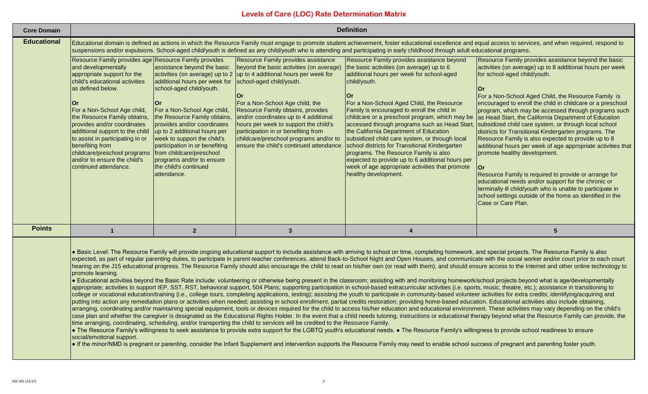| <b>Core Domain</b> | <b>Definition</b>                                                                                                                                                                                                                                                                                                                                                                                                                                         |                                                                                                                                                                                                                                                                                                                                                                                          |                                                                                                                                                                                                                                                                                                                                                                                                                                                                                       |                                                                                                                                                                                                                                                                                                                                                                                                                                                                                                                                                                                                                                                                                        |                                                                                                                                                                                                                                                                                                                                                                                                                                                                                                                                                                                                                                                                                                                                                                                                                                                                                                                                                                                                                                                                                                                                                                                                                                                                                                                                                                                                                                                                                                                                                                                                                                                                                                                                                                       |  |
|--------------------|-----------------------------------------------------------------------------------------------------------------------------------------------------------------------------------------------------------------------------------------------------------------------------------------------------------------------------------------------------------------------------------------------------------------------------------------------------------|------------------------------------------------------------------------------------------------------------------------------------------------------------------------------------------------------------------------------------------------------------------------------------------------------------------------------------------------------------------------------------------|---------------------------------------------------------------------------------------------------------------------------------------------------------------------------------------------------------------------------------------------------------------------------------------------------------------------------------------------------------------------------------------------------------------------------------------------------------------------------------------|----------------------------------------------------------------------------------------------------------------------------------------------------------------------------------------------------------------------------------------------------------------------------------------------------------------------------------------------------------------------------------------------------------------------------------------------------------------------------------------------------------------------------------------------------------------------------------------------------------------------------------------------------------------------------------------|-----------------------------------------------------------------------------------------------------------------------------------------------------------------------------------------------------------------------------------------------------------------------------------------------------------------------------------------------------------------------------------------------------------------------------------------------------------------------------------------------------------------------------------------------------------------------------------------------------------------------------------------------------------------------------------------------------------------------------------------------------------------------------------------------------------------------------------------------------------------------------------------------------------------------------------------------------------------------------------------------------------------------------------------------------------------------------------------------------------------------------------------------------------------------------------------------------------------------------------------------------------------------------------------------------------------------------------------------------------------------------------------------------------------------------------------------------------------------------------------------------------------------------------------------------------------------------------------------------------------------------------------------------------------------------------------------------------------------------------------------------------------------|--|
| <b>Educational</b> | Educational domain is defined as actions in which the Resource Family must engage to promote student achievement, foster educational excellence and equal access to services, and when required, respond to<br>suspensions and/or expulsions. School-aged child/youth is defined as any child/youth who is attending and participating in early childhood through adult educational programs.                                                             |                                                                                                                                                                                                                                                                                                                                                                                          |                                                                                                                                                                                                                                                                                                                                                                                                                                                                                       |                                                                                                                                                                                                                                                                                                                                                                                                                                                                                                                                                                                                                                                                                        |                                                                                                                                                                                                                                                                                                                                                                                                                                                                                                                                                                                                                                                                                                                                                                                                                                                                                                                                                                                                                                                                                                                                                                                                                                                                                                                                                                                                                                                                                                                                                                                                                                                                                                                                                                       |  |
|                    | Resource Family provides age Resource Family provides<br>and developmentally<br>appropriate support for the<br>child's educational activities<br>as defined below.<br>Or<br>For a Non-School Age child,<br>the Resource Family obtains,<br>provides and/or coordinates<br>additional support to the child<br>to assist in participating in or<br>benefiting from<br>childcare/preschool programs<br>and/or to ensure the child's<br>continued attendance. | assistance beyond the basic<br>additional hours per week for<br>school-aged child/youth.<br>For a Non-School Age child,<br>the Resource Family obtains,<br>provides and/or coordinates<br>up to 2 additional hours per<br>week to support the child's<br>participation in or benefiting<br>from childcare/preschool<br>programs and/or to ensure<br>the child's continued<br>attendance. | Resource Family provides assistance<br>beyond the basic activities (on average)<br>activities (on average) up to 2 $\mu$ to 4 additional hours per week for<br>school-aged child/youth.<br>lOr<br>For a Non-School Age child, the<br>Resource Family obtains, provides<br>and/or coordinates up to 4 additional<br>hours per week to support the child's<br>participation in or benefiting from<br>childcare/preschool programs and/or to<br>ensure the child's continued attendance. | Resource Family provides assistance beyond<br>the basic activities (on average) up to 6<br>additional hours per week for school-aged<br>child/youth.<br><b>Or</b><br>For a Non-School Aged Child, the Resource<br>Family is encouraged to enroll the child in<br>childcare or a preschool program, which may be<br>accessed through programs such as Head Start,<br>the California Department of Education<br>subsidized child care system, or through local<br>school districts for Transitional Kindergarten<br>programs. The Resource Family is also<br>expected to provide up to 6 additional hours per<br>week of age appropriate activities that promote<br>healthy development. | Resource Family provides assistance beyond the basic<br>activities (on average) up to 8 additional hours per week<br>for school-aged child/youth.<br>$ $ Or<br>For a Non-School Aged Child, the Resource Family is<br>encouraged to enroll the child in childcare or a preschool<br>program, which may be accessed through programs such<br>as Head Start, the California Department of Education<br>subsidized child care system, or through local school<br>districts for Transitional Kindergarten programs. The<br>Resource Family is also expected to provide up to 8<br>additional hours per week of age appropriate activities that<br>promote healthy development.<br><b>Or</b><br>Resource Family is required to provide or arrange for<br>educational needs and/or support for the chronic or<br>terminally ill child/youth who is unable to participate in<br>school settings outside of the home as identified in the<br>Case or Care Plan.                                                                                                                                                                                                                                                                                                                                                                                                                                                                                                                                                                                                                                                                                                                                                                                                               |  |
| <b>Points</b>      | $\mathbf{1}$                                                                                                                                                                                                                                                                                                                                                                                                                                              | $\overline{2}$                                                                                                                                                                                                                                                                                                                                                                           | $\mathbf{3}$                                                                                                                                                                                                                                                                                                                                                                                                                                                                          | $\boldsymbol{A}$                                                                                                                                                                                                                                                                                                                                                                                                                                                                                                                                                                                                                                                                       | $5\phantom{1}$                                                                                                                                                                                                                                                                                                                                                                                                                                                                                                                                                                                                                                                                                                                                                                                                                                                                                                                                                                                                                                                                                                                                                                                                                                                                                                                                                                                                                                                                                                                                                                                                                                                                                                                                                        |  |
|                    | promote learning.<br>social/emotional support.                                                                                                                                                                                                                                                                                                                                                                                                            |                                                                                                                                                                                                                                                                                                                                                                                          | time arranging, coordinating, scheduling, and/or transporting the child to services will be credited to the Resource Family.                                                                                                                                                                                                                                                                                                                                                          | putting into action any remediation plans or activities when needed; assisting in school enrollment, partial credits restoration; providing home-based education. Educational activities also include obtaining,<br>• The Resource Family's willingness to seek assistance to provide extra support for the LGBTQ youth's educational needs. • The Resource Family's willingness to provide school readiness to ensure<br>• If the minor/NMD is pregnant or parenting, consider the Infant Supplement and intervention supports the Resource Family may need to enable school success of pregnant and parenting foster youth.                                                          | . Basic Level: The Resource Family will provide ongoing educational support to include assistance with arriving to school on time, completing homework, and special projects. The Resource Family is also<br>expected, as part of regular parenting duties, to participate in parent-teacher conferences, attend Back-to-School Night and Open Houses, and communicate with the social worker and/or court prior to each court<br>hearing on the J15 educational progress. The Resource Family should also encourage the child to read on his/her own (or read with them), and should ensure access to the Internet and other online technology to<br>• Educational activities beyond the Basic Rate include: volunteering or otherwise being present in the classroom; assisting with and monitoring homework/school projects beyond what is age/developmentally<br>appropriate; activities to support IEP, SST, RST, behavioral support, 504 Plans; supporting participation in school-based extracurricular activities (i.e. sports, music, theatre, etc.); assistance in transitioning to<br>college or vocational education/training (i.e., college tours, completing applications, testing); assisting the youth to participate in community-based volunteer activities for extra credits; identifying/acquiring and<br>arranging, coordinating and/or maintaining special equipment, tools or devices required for the child to access his/her education and educational environment. These activities may vary depending on the child's<br>case plan and whether the caregiver is designated as the Educational Rights Holder. In the event that a child needs tutoring, instructions or educational therapy beyond what the Resource Family can provide, the |  |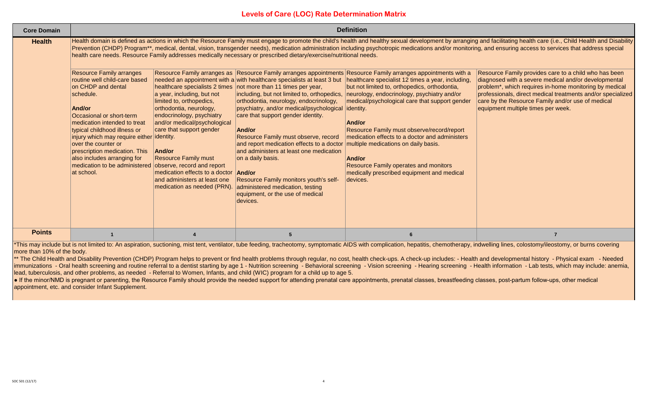| <b>Core Domain</b> |                                                                                                                                                                                                                                                                                                                                                                                              | <b>Definition</b>                                                                                                                                                                                                                                                                                                                                         |                                                                                                                                                                                                                                                                                                                                                                                                                                                                                                                                                                                                                                                                                                                                                    |                                                                                                                                                                                                                                                                                                                                                                                                                                                                                                                                                                                                          |                                                                                                                                                                                                                                                                                                                                                                                                                                                                                                                                                                                                                                                                                                                                                                               |  |
|--------------------|----------------------------------------------------------------------------------------------------------------------------------------------------------------------------------------------------------------------------------------------------------------------------------------------------------------------------------------------------------------------------------------------|-----------------------------------------------------------------------------------------------------------------------------------------------------------------------------------------------------------------------------------------------------------------------------------------------------------------------------------------------------------|----------------------------------------------------------------------------------------------------------------------------------------------------------------------------------------------------------------------------------------------------------------------------------------------------------------------------------------------------------------------------------------------------------------------------------------------------------------------------------------------------------------------------------------------------------------------------------------------------------------------------------------------------------------------------------------------------------------------------------------------------|----------------------------------------------------------------------------------------------------------------------------------------------------------------------------------------------------------------------------------------------------------------------------------------------------------------------------------------------------------------------------------------------------------------------------------------------------------------------------------------------------------------------------------------------------------------------------------------------------------|-------------------------------------------------------------------------------------------------------------------------------------------------------------------------------------------------------------------------------------------------------------------------------------------------------------------------------------------------------------------------------------------------------------------------------------------------------------------------------------------------------------------------------------------------------------------------------------------------------------------------------------------------------------------------------------------------------------------------------------------------------------------------------|--|
| <b>Health</b>      | <b>Resource Family arranges</b><br>routine well child-care based<br>on CHDP and dental<br>schedule.<br>And/or<br>Occasional or short-term<br>medication intended to treat<br>typical childhood illness or<br>injury which may require either identity.<br>over the counter or<br>prescription medication. This<br>also includes arranging for<br>medication to be administered<br>at school. | a year, including, but not<br>limited to, orthopedics,<br>orthodontia, neurology,<br>endocrinology, psychiatry<br>and/or medical/psychological<br>care that support gender<br><b>And/or</b><br><b>Resource Family must</b><br>observe, record and report<br>medication effects to a doctor<br>and administers at least one<br>medication as needed (PRN). | health care needs. Resource Family addresses medically necessary or prescribed dietary/exercise/nutritional needs.<br>needed an appointment with a with healthcare specialists at least 3 but<br>healthcare specialists 2 times not more than 11 times per year,<br>including, but not limited to, orthopedics,<br>orthodontia, neurology, endocrinology,<br>psychiatry, and/or medical/psychological<br>care that support gender identity.<br>And/or<br>Resource Family must observe, record<br>and report medication effects to a doctor<br>and administers at least one medication<br>on a daily basis.<br>And/or<br>Resource Family monitors youth's self-<br>administered medication, testing<br>equipment, or the use of medical<br>devices. | Resource Family arranges as Resource Family arranges appointments Resource Family arranges appointments with a<br>healthcare specialist 12 times a year, including,<br>but not limited to, orthopedics, orthodontia,<br>neurology, endocrinology, psychiatry and/or<br>medical/psychological care that support gender<br>identity.<br>And/or<br>Resource Family must observe/record/report<br>medication effects to a doctor and administers<br>multiple medications on daily basis.<br>And/or<br><b>Resource Family operates and monitors</b><br>medically prescribed equipment and medical<br>devices. | Health domain is defined as actions in which the Resource Family must engage to promote the child's health and healthy sexual development by arranging and facilitating health care (i.e., Child Health and Disability<br>Prevention (CHDP) Program**, medical, dental, vision, transgender needs), medication administration including psychotropic medications and/or monitoring, and ensuring access to services that address special<br>Resource Family provides care to a child who has been<br>diagnosed with a severe medical and/or developmental<br>problem*, which requires in-home monitoring by medical<br>professionals, direct medical treatments and/or specialized<br>care by the Resource Family and/or use of medical<br>equipment multiple times per week. |  |
| <b>Points</b>      |                                                                                                                                                                                                                                                                                                                                                                                              |                                                                                                                                                                                                                                                                                                                                                           |                                                                                                                                                                                                                                                                                                                                                                                                                                                                                                                                                                                                                                                                                                                                                    |                                                                                                                                                                                                                                                                                                                                                                                                                                                                                                                                                                                                          |                                                                                                                                                                                                                                                                                                                                                                                                                                                                                                                                                                                                                                                                                                                                                                               |  |

\*This may include but is not limited to: An aspiration, suctioning, mist tent, ventilator, tube feeding, tracheotomy, symptomatic AIDS with complication, hepatitis, chemotherapy, indwelling lines, colostomy/ileostomy, or b more than 10% of the body.

\*\* The Child Health and Disability Prevention (CHDP) Program helps to prevent or find health problems through regular, no cost, health check-ups. A check-up includes: - Health and developmental history - Physical exam - Ne immunizations - Oral health screening and routine referral to a dentist starting by age 1 - Nutrition screening - Behavioral screening - Vision screening - Hearing screening - Health information - Lab tests, which may incl lead, tuberculosis, and other problems, as needed - Referral to Women, Infants, and child (WIC) program for a child up to age 5.

● If the minor/NMD is pregnant or parenting, the Resource Family should provide the needed support for attending prenatal care appointments, prenatal classes, breastfeeding classes, post-partum follow-ups, other medical appointment, etc. and consider Infant Supplement.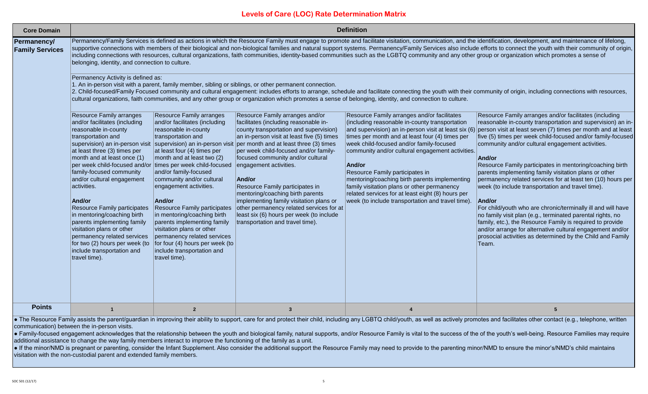| <b>Core Domain</b>                    |                                                                                                                                                                                                                                                                                                                                                                                                                                                                                                                                                                                                                                                                                      |                                                                                                                                                                                                                                                                                                                                                                                                                                                                                                  |                                                                                                                                                                                                                                                                                                                                                                                                                                                                                                                                                                                                                                                                                                                       | <b>Definition</b>                                                                                                                                                                                                                                                                                                                                                                                                                                                                                                                                                                                                                                                                                                                                                                                                                                                                                                                    |                                                                                                                                                                                                                                                                                                                                                                                                                                                                                                                                                                                                                                                                                                                                                                                                                                                                                                                                                                                                                                                                                                                                                                                                                                                                                                                                                                                                                                                                                                                                                                         |
|---------------------------------------|--------------------------------------------------------------------------------------------------------------------------------------------------------------------------------------------------------------------------------------------------------------------------------------------------------------------------------------------------------------------------------------------------------------------------------------------------------------------------------------------------------------------------------------------------------------------------------------------------------------------------------------------------------------------------------------|--------------------------------------------------------------------------------------------------------------------------------------------------------------------------------------------------------------------------------------------------------------------------------------------------------------------------------------------------------------------------------------------------------------------------------------------------------------------------------------------------|-----------------------------------------------------------------------------------------------------------------------------------------------------------------------------------------------------------------------------------------------------------------------------------------------------------------------------------------------------------------------------------------------------------------------------------------------------------------------------------------------------------------------------------------------------------------------------------------------------------------------------------------------------------------------------------------------------------------------|--------------------------------------------------------------------------------------------------------------------------------------------------------------------------------------------------------------------------------------------------------------------------------------------------------------------------------------------------------------------------------------------------------------------------------------------------------------------------------------------------------------------------------------------------------------------------------------------------------------------------------------------------------------------------------------------------------------------------------------------------------------------------------------------------------------------------------------------------------------------------------------------------------------------------------------|-------------------------------------------------------------------------------------------------------------------------------------------------------------------------------------------------------------------------------------------------------------------------------------------------------------------------------------------------------------------------------------------------------------------------------------------------------------------------------------------------------------------------------------------------------------------------------------------------------------------------------------------------------------------------------------------------------------------------------------------------------------------------------------------------------------------------------------------------------------------------------------------------------------------------------------------------------------------------------------------------------------------------------------------------------------------------------------------------------------------------------------------------------------------------------------------------------------------------------------------------------------------------------------------------------------------------------------------------------------------------------------------------------------------------------------------------------------------------------------------------------------------------------------------------------------------------|
| Permanency/<br><b>Family Services</b> | belonging, identity, and connection to culture.<br>Permanency Activity is defined as:<br>Resource Family arranges<br>and/or facilitates (including<br>reasonable in-county<br>transportation and<br>supervision) an in-person visit<br>at least three (3) times per<br>month and at least once (1)<br>per week child-focused and/or times per week child-focused<br>family-focused community<br>and/or cultural engagement<br>activities.<br>And/or<br><b>Resource Family participates</b><br>in mentoring/coaching birth<br>parents implementing family<br>visitation plans or other<br>permanency related services<br>for two (2) hours per week (to<br>include transportation and | Resource Family arranges<br>and/or facilitates (including<br>reasonable in-county<br>transportation and<br>at least four (4) times per<br>month and at least two (2)<br>and/or family-focused<br>community and/or cultural<br>engagement activities.<br>And/or<br><b>Resource Family participates</b><br>in mentoring/coaching birth<br>parents implementing family<br>visitation plans or other<br>permanency related services<br>for four (4) hours per week (to<br>include transportation and | 1. An in-person visit with a parent, family member, sibling or siblings, or other permanent connection.<br>Resource Family arranges and/or<br>facilitates (including reasonable in-<br>county transportation and supervision)<br>an in-person visit at least five (5) times<br>supervision) an in-person visit per month and at least three (3) times<br>per week child-focused and/or family-<br>focused community and/or cultural<br>engagement activities.<br>And/or<br>Resource Family participates in<br>mentoring/coaching birth parents<br>implementing family visitation plans or<br>other permanency related services for at<br>least six (6) hours per week (to include<br>transportation and travel time). | including connections with resources, cultural organizations, faith communities, identity-based communities such as the LGBTQ community and any other group or organization which promotes a sense of<br>cultural organizations, faith communities, and any other group or organization which promotes a sense of belonging, identity, and connection to culture.<br>Resource Family arranges and/or facilitates<br>(including reasonable in-county transportation<br>and supervision) an in-person visit at least six (6)<br>times per month and at least four (4) times per<br>week child-focused and/or family-focused<br>community and/or cultural engagement activities.<br>And/or<br>Resource Family participates in<br>mentoring/coaching birth parents implementing<br>family visitation plans or other permanency<br>related services for at least eight (8) hours per<br>week (to include transportation and travel time). | Permanency/Family Services is defined as actions in which the Resource Family must engage to promote and facilitate visitation, communication, and the identification, development, and maintenance of lifelong,<br>supportive connections with members of their biological and non-biological families and natural support systems. Permanency/Family Services also include efforts to connect the youth with their community of origin,<br>2. Child-focused/Family Focused community and cultural engagement: includes efforts to arrange, schedule and facilitate connecting the youth with their community of origin, including connections with resources,<br>Resource Family arranges and/or facilitates (including<br>reasonable in-county transportation and supervision) an in-<br>person visit at least seven (7) times per month and at least<br>five (5) times per week child-focused and/or family-focused<br>community and/or cultural engagement activities.<br>And/or<br>Resource Family participates in mentoring/coaching birth<br>parents implementing family visitation plans or other<br>permanency related services for at least ten (10) hours per<br>week (to include transportation and travel time).<br>And/or<br>For child/youth who are chronic/terminally ill and will have<br>no family visit plan (e.g., terminated parental rights, no<br>family, etc.), the Resource Family is required to provide<br>and/or arrange for alternative cultural engagement and/or<br>prosocial activities as determined by the Child and Family<br>Team. |
|                                       | travel time).                                                                                                                                                                                                                                                                                                                                                                                                                                                                                                                                                                                                                                                                        | travel time).                                                                                                                                                                                                                                                                                                                                                                                                                                                                                    |                                                                                                                                                                                                                                                                                                                                                                                                                                                                                                                                                                                                                                                                                                                       |                                                                                                                                                                                                                                                                                                                                                                                                                                                                                                                                                                                                                                                                                                                                                                                                                                                                                                                                      |                                                                                                                                                                                                                                                                                                                                                                                                                                                                                                                                                                                                                                                                                                                                                                                                                                                                                                                                                                                                                                                                                                                                                                                                                                                                                                                                                                                                                                                                                                                                                                         |
| <b>Points</b>                         |                                                                                                                                                                                                                                                                                                                                                                                                                                                                                                                                                                                                                                                                                      | $\overline{2}$                                                                                                                                                                                                                                                                                                                                                                                                                                                                                   | $\overline{\mathbf{3}}$                                                                                                                                                                                                                                                                                                                                                                                                                                                                                                                                                                                                                                                                                               |                                                                                                                                                                                                                                                                                                                                                                                                                                                                                                                                                                                                                                                                                                                                                                                                                                                                                                                                      | 5                                                                                                                                                                                                                                                                                                                                                                                                                                                                                                                                                                                                                                                                                                                                                                                                                                                                                                                                                                                                                                                                                                                                                                                                                                                                                                                                                                                                                                                                                                                                                                       |

• The Resource Family assists the parent/guardian in improving their ability to support, care for and protect their child, including any LGBTQ child/youth, as well as actively promotes and facilitates other contact (e.g., communication) between the in-person visits.

Family-focused engagement acknowledges that the relationship between the youth and biological family, natural supports, and/or Resource Family is vital to the success of the of the youth's well-being. Resource Families may additional assistance to change the way family members interact to improve the functioning of the family as a unit.

. If the minor/NMD is pregnant or parenting, consider the Infant Supplement. Also consider the additional support the Resource Family may need to provide to the parenting minor/NMD to ensure the minor's/NMD's child maintai visitation with the non-custodial parent and extended family members.